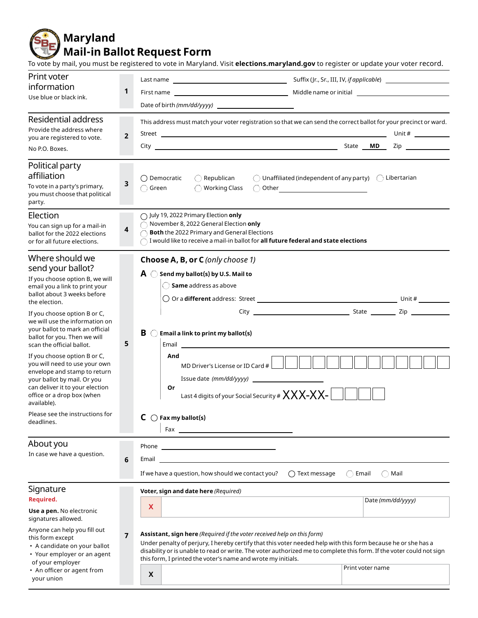**Maryland Mail-in Ballot Request Form**

To vote by mail, you must be registered to vote in Maryland. Visit **elections.maryland.gov** to register or update your voter record.

| This address must match your voter registration so that we can send the correct ballot for your precinct or ward.<br>Unit # $\qquad \qquad$<br>Zip and the state of the state of the state of the state of the state of the state of the state of the state o |
|---------------------------------------------------------------------------------------------------------------------------------------------------------------------------------------------------------------------------------------------------------------|
| $\bigcirc$ Unaffiliated (independent of any party) $\bigcirc$ Libertarian                                                                                                                                                                                     |
|                                                                                                                                                                                                                                                               |
|                                                                                                                                                                                                                                                               |
|                                                                                                                                                                                                                                                               |
| Date (mm/dd/yyyy)<br>Under penalty of perjury, I hereby certify that this voter needed help with this form because he or she has a<br>disability or is unable to read or write. The voter authorized me to complete this form. If the voter could not sign    |
|                                                                                                                                                                                                                                                               |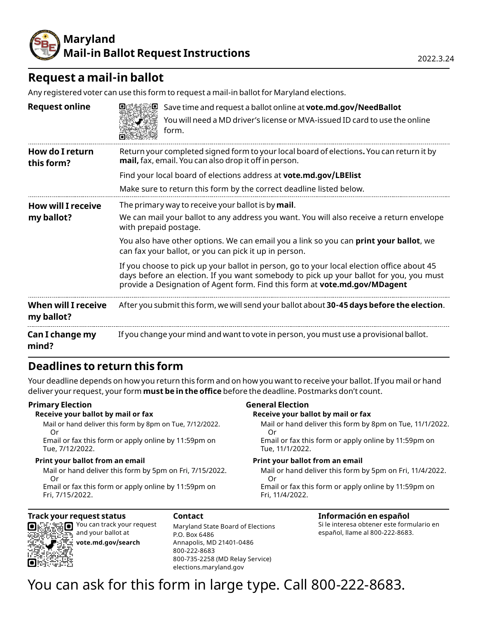

## **Request a mail-in ballot**

Any registered voter can use this form to request a mail-in ballot for Maryland elections.

| <b>Request online</b>                   | Save time and request a ballot online at vote.md.gov/NeedBallot<br>You will need a MD driver's license or MVA-issued ID card to use the online<br>₩<br>form.                                                                                                      |
|-----------------------------------------|-------------------------------------------------------------------------------------------------------------------------------------------------------------------------------------------------------------------------------------------------------------------|
| How do I return<br>this form?           | Return your completed signed form to your local board of elections. You can return it by<br>mail, fax, email. You can also drop it off in person.                                                                                                                 |
|                                         | Find your local board of elections address at vote.md.gov/LBElist                                                                                                                                                                                                 |
|                                         | Make sure to return this form by the correct deadline listed below.                                                                                                                                                                                               |
| <b>How will I receive</b><br>my ballot? | The primary way to receive your ballot is by <b>mail</b> .<br>We can mail your ballot to any address you want. You will also receive a return envelope<br>with prepaid postage.                                                                                   |
|                                         | You also have other options. We can email you a link so you can <b>print your ballot</b> , we<br>can fax your ballot, or you can pick it up in person.                                                                                                            |
|                                         | If you choose to pick up your ballot in person, go to your local election office about 45<br>days before an election. If you want somebody to pick up your ballot for you, you must<br>provide a Designation of Agent form. Find this form at vote.md.gov/MDagent |
| When will I receive<br>my ballot?       | After you submit this form, we will send your ballot about 30-45 days before the election.                                                                                                                                                                        |
| Can I change my<br>mind?                | If you change your mind and want to vote in person, you must use a provisional ballot.                                                                                                                                                                            |

## **Deadlines to return this form**

Your deadline depends on how you return this form and on how you want to receive your ballot. If you mail or hand deliver your request, your form **must be in the office** before the deadline. Postmarks don't count.

#### **Primary Election**

#### **Receive your ballot by mail or fax**

Mail or hand deliver this form by 8pm on Tue, 7/12/2022. Or

Email or fax this form or apply online by 11:59pm on Tue, 7/12/2022.

#### **Print your ballot from an email**

Mail or hand deliver this form by 5pm on Fri, 7/15/2022. Or

Email or fax this form or apply online by 11:59pm on Fri, 7/15/2022.

#### **Track your request status**  $\blacksquare$  You can track your request

О

and your ballot at **vote.md.gov/search**

#### **Contact**

Maryland State Board of Elections P.O. Box 6486 Annapolis, MD 21401-0486 800-222-8683 800-735-2258 (MD Relay Service) elections.maryland.gov

## **General Election**

**Receive your ballot by mail or fax** Mail or hand deliver this form by 8pm on Tue, 11/1/2022.

 Or Email or fax this form or apply online by 11:59pm on

Tue, 11/1/2022.

#### **Print your ballot from an email**

Mail or hand deliver this form by 5pm on Fri, 11/4/2022. Or

Email or fax this form or apply online by 11:59pm on Fri, 11/4/2022.

## **Información en español**

Si le interesa obtener este formulario en español, llame al 800-222-8683.

# You can ask for this form in large type. Call 800-222-8683.